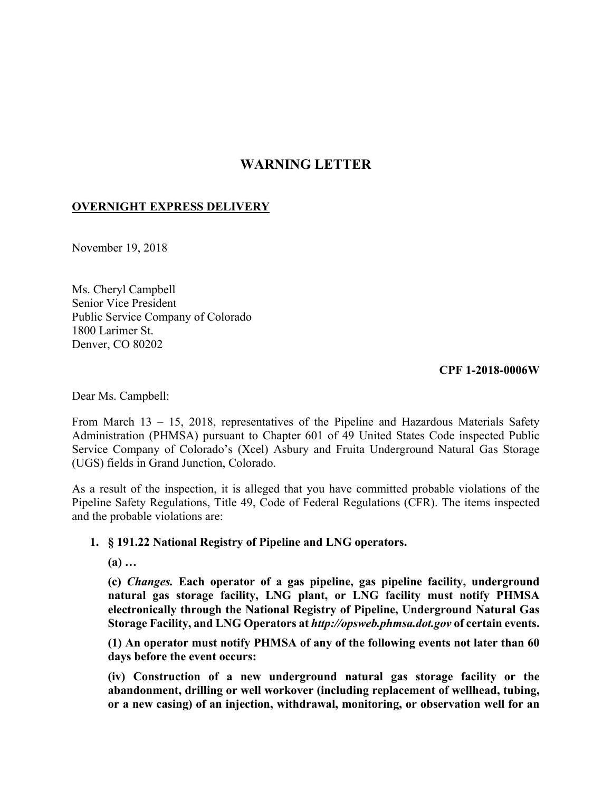# **WARNING LETTER**

# **OVERNIGHT EXPRESS DELIVERY**

November 19, 2018

Ms. Cheryl Campbell Senior Vice President Public Service Company of Colorado 1800 Larimer St. Denver, CO 80202

**CPF 1-2018-0006W** 

Dear Ms. Campbell:

From March 13 – 15, 2018, representatives of the Pipeline and Hazardous Materials Safety Administration (PHMSA) pursuant to Chapter 601 of 49 United States Code inspected Public Service Company of Colorado's (Xcel) Asbury and Fruita Underground Natural Gas Storage (UGS) fields in Grand Junction, Colorado.

As a result of the inspection, it is alleged that you have committed probable violations of the Pipeline Safety Regulations, Title 49, Code of Federal Regulations (CFR). The items inspected and the probable violations are:

#### **1. § 191.22 National Registry of Pipeline and LNG operators.**

**(a) …** 

**(c)** *Changes.* **Each operator of a gas pipeline, gas pipeline facility, underground natural gas storage facility, LNG plant, or LNG facility must notify PHMSA electronically through the National Registry of Pipeline, Underground Natural Gas Storage Facility, and LNG Operators at** *<http://opsweb.phmsa.dot.gov>* **of certain events.** 

**(1) An operator must notify PHMSA of any of the following events not later than 60 days before the event occurs:** 

 **(iv) Construction of a new underground natural gas storage facility or the or a new casing) of an injection, withdrawal, monitoring, or observation well for an abandonment, drilling or well workover (including replacement of wellhead, tubing,**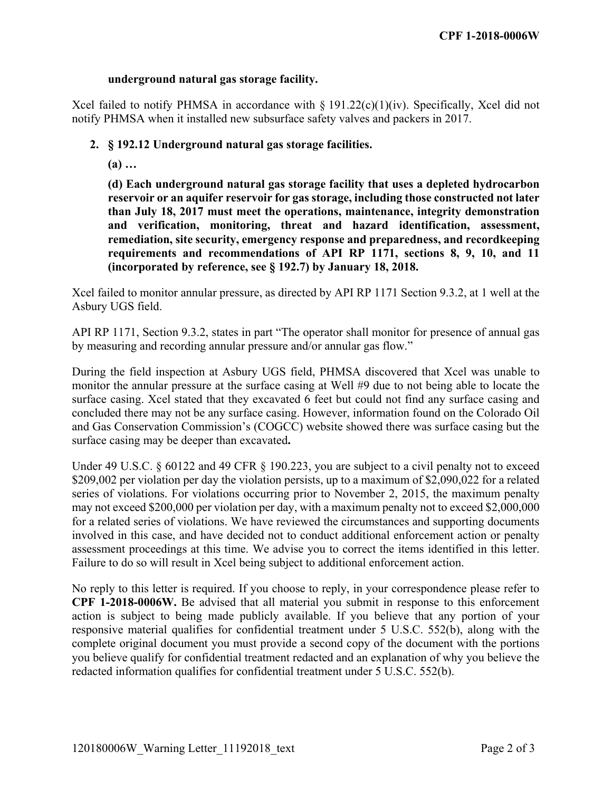#### **underground natural gas storage facility.**

Xcel failed to notify PHMSA in accordance with  $\S 191.22(c)(1)(iv)$ . Specifically, Xcel did not notify PHMSA when it installed new subsurface safety valves and packers in 2017.

### **2. § 192.12 Underground natural gas storage facilities.**

**(a) …**

**(d) Each underground natural gas storage facility that uses a depleted hydrocarbon reservoir or an aquifer reservoir for gas storage, including those constructed not later than July 18, 2017 must meet the operations, maintenance, integrity demonstration and verification, monitoring, threat and hazard identification, assessment, remediation, site security, emergency response and preparedness, and recordkeeping requirements and recommendations of API RP 1171, sections 8, 9, 10, and 11 (incorporated by reference, see § 192.7) by January 18, 2018.** 

Xcel failed to monitor annular pressure, as directed by API RP 1171 Section 9.3.2, at 1 well at the Asbury UGS field.

API RP 1171, Section 9.3.2, states in part "The operator shall monitor for presence of annual gas by measuring and recording annular pressure and/or annular gas flow."

 During the field inspection at Asbury UGS field, PHMSA discovered that Xcel was unable to monitor the annular pressure at the surface casing at Well #9 due to not being able to locate the surface casing. Xcel stated that they excavated 6 feet but could not find any surface casing and concluded there may not be any surface casing. However, information found on the Colorado Oil and Gas Conservation Commission's (COGCC) website showed there was surface casing but the surface casing may be deeper than excavated**.** 

 may not exceed \$200,000 per violation per day, with a maximum penalty not to exceed \$2,000,000 Under 49 U.S.C. § 60122 and 49 CFR § 190.223, you are subject to a civil penalty not to exceed \$209,002 per violation per day the violation persists, up to a maximum of \$2,090,022 for a related series of violations. For violations occurring prior to November 2, 2015, the maximum penalty for a related series of violations. We have reviewed the circumstances and supporting documents involved in this case, and have decided not to conduct additional enforcement action or penalty assessment proceedings at this time. We advise you to correct the items identified in this letter. Failure to do so will result in Xcel being subject to additional enforcement action.

 **CPF 1-2018-0006W.** Be advised that all material you submit in response to this enforcement complete original document you must provide a second copy of the document with the portions No reply to this letter is required. If you choose to reply, in your correspondence please refer to action is subject to being made publicly available. If you believe that any portion of your responsive material qualifies for confidential treatment under 5 U.S.C. 552(b), along with the you believe qualify for confidential treatment redacted and an explanation of why you believe the redacted information qualifies for confidential treatment under 5 U.S.C. 552(b).